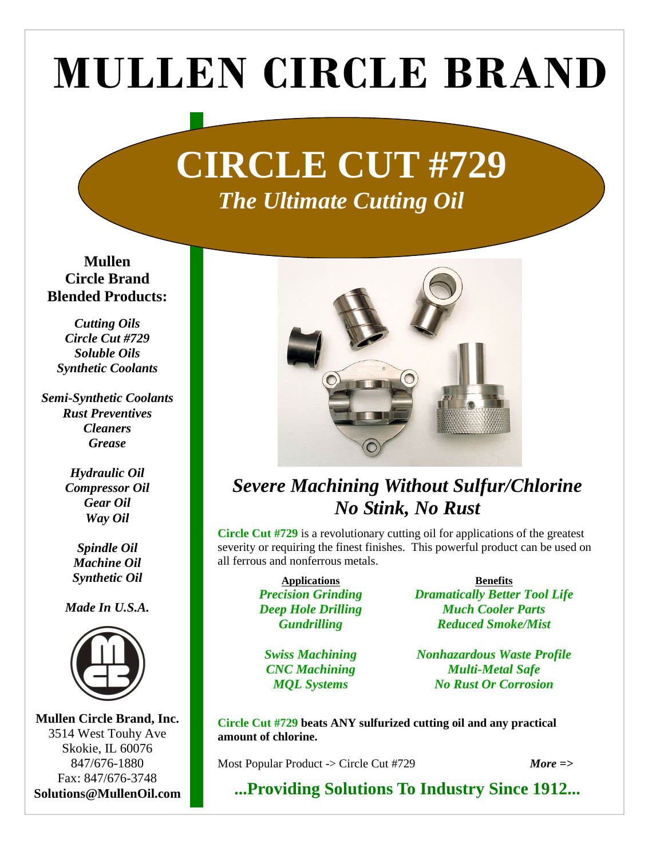# MULLEN CIRCLE BRAND

## **CIRCLE CUT #729**  *The Ultimate Cutting Oil*

**Mullen Circle Brand Blended Products:** 

*Cutting Oils Circle Cut #729 Soluble Oils Synthetic Coolants* 

*Semi-Synthetic Coolants Rust Preventives Cleaners Grease* 

> *Hydraulic Oil Compressor Oil Gear Oil Way Oil*

*Spindle Oil Machine Oil Synthetic Oil* 

*Made In U.S.A.* 



**Mullen Circle Brand, Inc.**  3514 West Touhy Ave Skokie, IL 60076 847/676-1880 Fax: 847/676-3748 **Solutions@MullenOil.com** 



### *Severe Machining Without Sulfur/Chlorine No Stink, No Rust*

**Circle Cut #729** is a revolutionary cutting oil for applications of the greatest severity or requiring the finest finishes. This powerful product can be used on all ferrous and nonferrous metals.

> **Applications** *Precision Grinding Deep Hole Drilling Gundrilling*

*Swiss Machining CNC Machining MQL Systems* 

**Benefits** *Dramatically Better Tool Life Much Cooler Parts Reduced Smoke/Mist* 

*Nonhazardous Waste Profile Multi-Metal Safe No Rust Or Corrosion* 

**Circle Cut #729 beats ANY sulfurized cutting oil and any practical amount of chlorine.** 

Most Popular Product -> Circle Cut #729 *More =>* 

**...Providing Solutions To Industry Since 1912...**